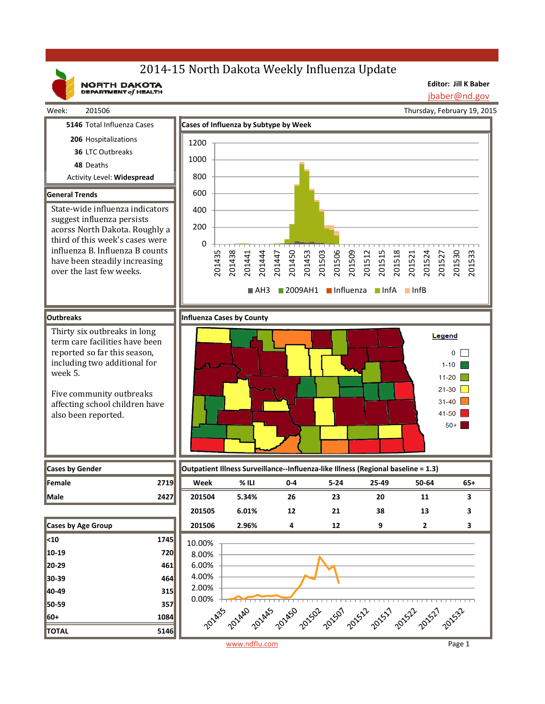# 2014-15 North Dakota Weekly Influenza Update

NORTH DAKOTA

**Editor: Jill K Baber**

jbaber@nd.gov

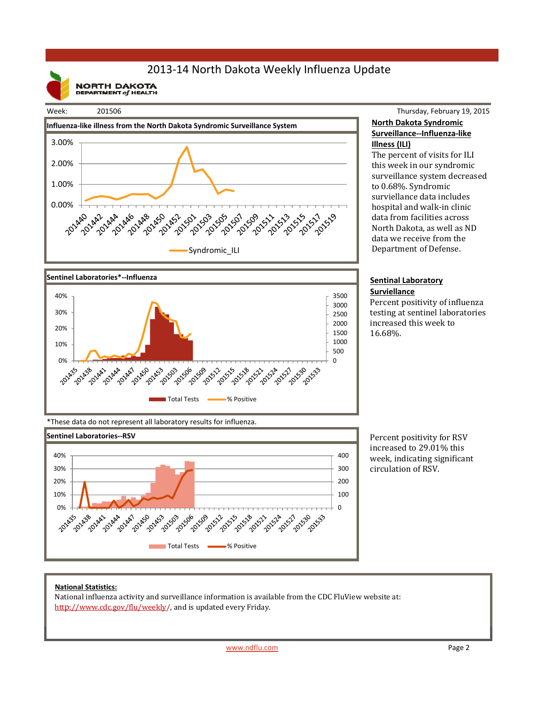## 2013‐14 North Dakota Weekly Influenza Update

**NORTH DAKOTA**<br>DEPARTMENT of HEALTH







### Thursday, February 19, 2015 **North Dakota Syndromic Surveillance‐‐Influenza‐like Illness (ILI)**

The percent of visits for ILI this week in our syndromic surveillance system decreased to 0.68%. Syndromic surviellance data includes hospital and walk-in clinic data from facilities across North Dakota, as well as ND data we receive from the Department of Defense.

#### **Sentinal Laboratory Surviellance**

Percent positivity of influenza testing at sentinel laboratories increased this week to 16.68%. 

\*These data do not represent all laboratory results for influenza.



Percent positivity for RSV increased to 29.01% this week, indicating significant circulation of RSV.

#### **National Statistics:**

National influenza activity and surveillance information is available from the CDC FluView website at: http://www.cdc.gov/flu/weekly/, and is updated every Friday.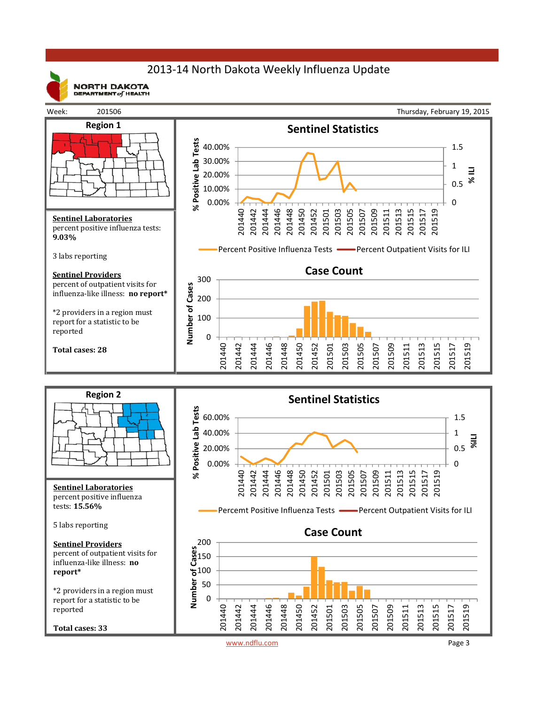## 2013‐14 North Dakota Weekly Influenza Update



**NORTH DAKOTA** DEPARTMENT  $of$  HEALTH